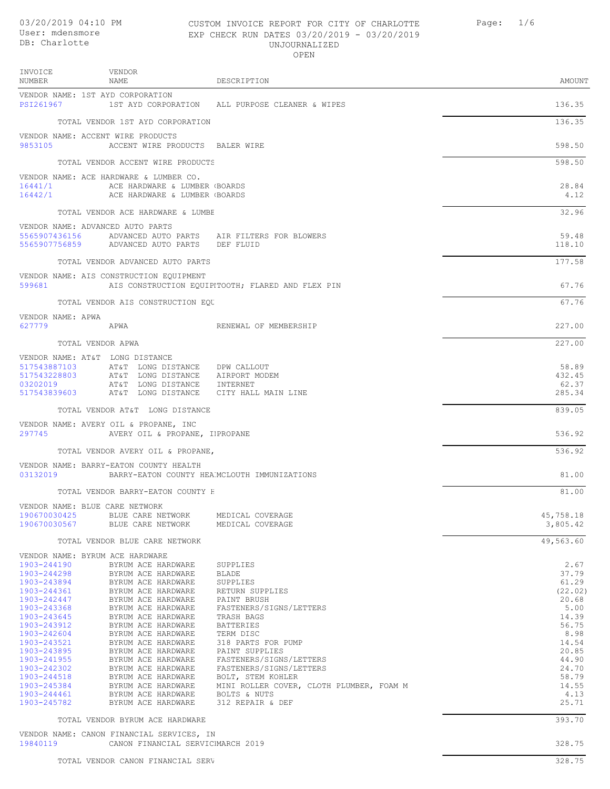VENDOR INVOICE

#### 03/20/2019 04:10 PM CUSTOM INVOICE REPORT FOR CITY OF CHARLOTTE Page: 1/6 EXP CHECK RUN DATES 03/20/2019 - 03/20/2019 UNJOURNALIZED OPEN

| NUMBER                         | NAME                                                                                                     | DESCRIPTION                                               | AMOUNT                |
|--------------------------------|----------------------------------------------------------------------------------------------------------|-----------------------------------------------------------|-----------------------|
| PSI261967                      | VENDOR NAME: 1ST AYD CORPORATION                                                                         | 1ST AYD CORPORATION ALL PURPOSE CLEANER & WIPES           | 136.35                |
|                                | TOTAL VENDOR 1ST AYD CORPORATION                                                                         |                                                           | 136.35                |
| 9853105                        | VENDOR NAME: ACCENT WIRE PRODUCTS<br>ACCENT WIRE PRODUCTS BALER WIRE                                     |                                                           | 598.50                |
|                                | TOTAL VENDOR ACCENT WIRE PRODUCTS                                                                        |                                                           | 598.50                |
| 16441/1<br>16442/1             | VENDOR NAME: ACE HARDWARE & LUMBER CO.<br>ACE HARDWARE & LUMBER (BOARDS<br>ACE HARDWARE & LUMBER (BOARDS |                                                           | 28.84<br>4.12         |
|                                | TOTAL VENDOR ACE HARDWARE & LUMBE                                                                        |                                                           | 32.96                 |
|                                | VENDOR NAME: ADVANCED AUTO PARTS                                                                         |                                                           |                       |
|                                | 5565907756859 ADVANCED AUTO PARTS DEF FLUID                                                              | 5565907436156 ADVANCED AUTO PARTS AIR FILTERS FOR BLOWERS | 59.48<br>118.10       |
|                                | TOTAL VENDOR ADVANCED AUTO PARTS                                                                         |                                                           | 177.58                |
| 599681                         | VENDOR NAME: AIS CONSTRUCTION EQUIPMENT                                                                  | AIS CONSTRUCTION EQUIPITOOTH; FLARED AND FLEX PIN         | 67.76                 |
|                                | TOTAL VENDOR AIS CONSTRUCTION EOU                                                                        |                                                           | 67.76                 |
| VENDOR NAME: APWA<br>627779    | APWA                                                                                                     | RENEWAL OF MEMBERSHIP                                     | 227.00                |
|                                | TOTAL VENDOR APWA                                                                                        |                                                           | 227.00                |
|                                | VENDOR NAME: AT&T LONG DISTANCE                                                                          |                                                           |                       |
| 517543887103                   | AT&T LONG DISTANCE DPW CALLOUT                                                                           |                                                           | 58.89                 |
| 517543228803                   | AT&T LONG DISTANCE                                                                                       | AIRPORT MODEM                                             | 432.45                |
| 03202019<br>517543839603       | AT&T LONG DISTANCE INTERNET<br>AT&T LONG DISTANCE                                                        | CITY HALL MAIN LINE                                       | 62.37<br>285.34       |
|                                | TOTAL VENDOR AT&T LONG DISTANCE                                                                          |                                                           | 839.05                |
| 297745                         | VENDOR NAME: AVERY OIL & PROPANE, INC<br>AVERY OIL & PROPANE, IPROPANE                                   |                                                           | 536.92                |
|                                | TOTAL VENDOR AVERY OIL & PROPANE,                                                                        |                                                           | 536.92                |
| 03132019                       | VENDOR NAME: BARRY-EATON COUNTY HEALTH                                                                   | BARRY-EATON COUNTY HEAMCLOUTH IMMUNIZATIONS               | 81.00                 |
|                                | TOTAL VENDOR BARRY-EATON COUNTY H                                                                        |                                                           | 81.00                 |
| VENDOR NAME: BLUE CARE NETWORK |                                                                                                          |                                                           |                       |
| 190670030425                   | BLUE CARE NETWORK<br>190670030567 BLUE CARE NETWORK MEDICAL COVERAGE                                     | MEDICAL COVERAGE                                          | 45,758.18<br>3,805.42 |
|                                |                                                                                                          |                                                           |                       |
|                                | TOTAL VENDOR BLUE CARE NETWORK                                                                           |                                                           | 49,563.60             |
| 1903-244190                    | VENDOR NAME: BYRUM ACE HARDWARE<br>BYRUM ACE HARDWARE                                                    | SUPPLIES                                                  | 2.67                  |
| 1903-244298                    | BYRUM ACE HARDWARE                                                                                       | BLADE                                                     | 37.79                 |
| 1903-243894                    | BYRUM ACE HARDWARE                                                                                       | SUPPLIES                                                  | 61.29                 |
| 1903-244361<br>1903-242447     | BYRUM ACE HARDWARE<br>BYRUM ACE HARDWARE                                                                 | RETURN SUPPLIES<br>PAINT BRUSH                            | (22.02)<br>20.68      |
| 1903-243368                    | BYRUM ACE HARDWARE                                                                                       | FASTENERS/SIGNS/LETTERS                                   | 5.00                  |
| 1903-243645                    | BYRUM ACE HARDWARE                                                                                       | TRASH BAGS                                                | 14.39                 |
| 1903-243912                    | BYRUM ACE HARDWARE                                                                                       | BATTERIES                                                 | 56.75                 |
| 1903-242604                    | BYRUM ACE HARDWARE                                                                                       | TERM DISC                                                 | 8.98                  |
| 1903-243521<br>1903-243895     | BYRUM ACE HARDWARE<br>BYRUM ACE HARDWARE                                                                 | 318 PARTS FOR PUMP<br>PAINT SUPPLIES                      | 14.54<br>20.85        |
| 1903-241955                    | BYRUM ACE HARDWARE                                                                                       | FASTENERS/SIGNS/LETTERS                                   | 44.90                 |
| 1903-242302                    | BYRUM ACE HARDWARE                                                                                       | FASTENERS/SIGNS/LETTERS                                   | 24.70                 |
| 1903-244518                    | BYRUM ACE HARDWARE                                                                                       | BOLT, STEM KOHLER                                         | 58.79                 |
| 1903-245384<br>1903-244461     | BYRUM ACE HARDWARE<br>BYRUM ACE HARDWARE                                                                 | MINI ROLLER COVER, CLOTH PLUMBER, FOAM M<br>BOLTS & NUTS  | 14.55<br>4.13         |
| 1903-245782                    | BYRUM ACE HARDWARE                                                                                       | 312 REPAIR & DEF                                          | 25.71                 |
|                                | TOTAL VENDOR BYRUM ACE HARDWARE                                                                          |                                                           | 393.70                |
|                                | VENDOR NAME: CANON FINANCIAL SERVICES, IN                                                                |                                                           |                       |

19840119 CANON FINANCIAL SERVICES, IN MARCH 2019 328.75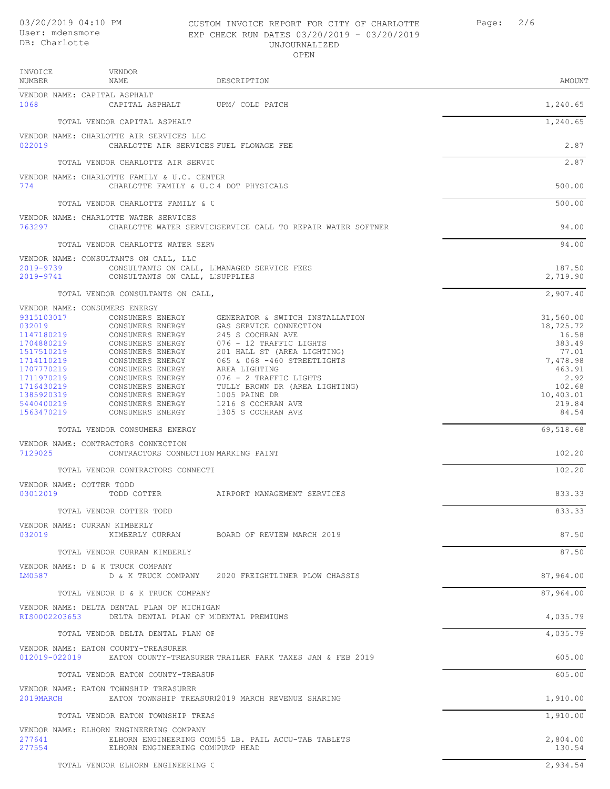INVOICE

VENDOR

### 03/20/2019 04:10 PM CUSTOM INVOICE REPORT FOR CITY OF CHARLOTTE Page: 2/6 EXP CHECK RUN DATES 03/20/2019 - 03/20/2019 UNJOURNALIZED OPEN

| NUMBER                                                                                                                                                           | NAME                                                                                                                                                                                                                                         | DESCRIPTION                                                                                                                                                                                                                                                                                                       | AMOUNT                                                                                                                     |
|------------------------------------------------------------------------------------------------------------------------------------------------------------------|----------------------------------------------------------------------------------------------------------------------------------------------------------------------------------------------------------------------------------------------|-------------------------------------------------------------------------------------------------------------------------------------------------------------------------------------------------------------------------------------------------------------------------------------------------------------------|----------------------------------------------------------------------------------------------------------------------------|
| VENDOR NAME: CAPITAL ASPHALT<br>1068                                                                                                                             | CAPITAL ASPHALT UPM/ COLD PATCH                                                                                                                                                                                                              |                                                                                                                                                                                                                                                                                                                   | 1,240.65                                                                                                                   |
|                                                                                                                                                                  | TOTAL VENDOR CAPITAL ASPHALT                                                                                                                                                                                                                 |                                                                                                                                                                                                                                                                                                                   | 1,240.65                                                                                                                   |
| 022019                                                                                                                                                           | VENDOR NAME: CHARLOTTE AIR SERVICES LLC<br>CHARLOTTE AIR SERVICES FUEL FLOWAGE FEE                                                                                                                                                           |                                                                                                                                                                                                                                                                                                                   | 2.87                                                                                                                       |
|                                                                                                                                                                  | TOTAL VENDOR CHARLOTTE AIR SERVIC                                                                                                                                                                                                            |                                                                                                                                                                                                                                                                                                                   | 2.87                                                                                                                       |
| 774                                                                                                                                                              | VENDOR NAME: CHARLOTTE FAMILY & U.C. CENTER<br>CHARLOTTE FAMILY & U.C 4 DOT PHYSICALS                                                                                                                                                        |                                                                                                                                                                                                                                                                                                                   | 500.00                                                                                                                     |
|                                                                                                                                                                  | TOTAL VENDOR CHARLOTTE FAMILY & U                                                                                                                                                                                                            |                                                                                                                                                                                                                                                                                                                   | 500.00                                                                                                                     |
| 763297                                                                                                                                                           | VENDOR NAME: CHARLOTTE WATER SERVICES                                                                                                                                                                                                        | CHARLOTTE WATER SERVICISERVICE CALL TO REPAIR WATER SOFTNER                                                                                                                                                                                                                                                       | 94.00                                                                                                                      |
|                                                                                                                                                                  | TOTAL VENDOR CHARLOTTE WATER SERV                                                                                                                                                                                                            |                                                                                                                                                                                                                                                                                                                   | 94.00                                                                                                                      |
| 2019-9739<br>2019-9741                                                                                                                                           | VENDOR NAME: CONSULTANTS ON CALL, LLC<br>CONSULTANTS ON CALL, L'MANAGED SERVICE FEES<br>CONSULTANTS ON CALL, L'SUPPLIES                                                                                                                      |                                                                                                                                                                                                                                                                                                                   | 187.50<br>2,719.90                                                                                                         |
|                                                                                                                                                                  | TOTAL VENDOR CONSULTANTS ON CALL,                                                                                                                                                                                                            |                                                                                                                                                                                                                                                                                                                   | 2,907.40                                                                                                                   |
| VENDOR NAME: CONSUMERS ENERGY                                                                                                                                    |                                                                                                                                                                                                                                              |                                                                                                                                                                                                                                                                                                                   |                                                                                                                            |
| 9315103017<br>032019<br>1147180219<br>1704880219<br>1517510219<br>1714110219<br>1707770219<br>1711970219<br>1716430219<br>1385920319<br>5440400219<br>1563470219 | CONSUMERS ENERGY<br>CONSUMERS ENERGY<br>CONSUMERS ENERGY<br>CONSUMERS ENERGY<br>CONSUMERS ENERGY<br>CONSUMERS ENERGY<br>CONSUMERS ENERGY<br>CONSUMERS ENERGY<br>CONSUMERS ENERGY<br>CONSUMERS ENERGY<br>CONSUMERS ENERGY<br>CONSUMERS ENERGY | GENERATOR & SWITCH INSTALLATION<br>GAS SERVICE CONNECTION<br>245 S COCHRAN AVE<br>076 - 12 TRAFFIC LIGHTS<br>201 HALL ST (AREA LIGHTING)<br>065 & 068 -460 STREETLIGHTS<br>AREA LIGHTING<br>076 - 2 TRAFFIC LIGHTS<br>TULLY BROWN DR (AREA LIGHTING)<br>1005 PAINE DR<br>1216 S COCHRAN AVE<br>1305 S COCHRAN AVE | 31,560.00<br>18,725.72<br>16.58<br>383.49<br>77.01<br>7,478.98<br>463.91<br>2.92<br>102.68<br>10,403.01<br>219.84<br>84.54 |
|                                                                                                                                                                  | TOTAL VENDOR CONSUMERS ENERGY                                                                                                                                                                                                                |                                                                                                                                                                                                                                                                                                                   | 69,518.68                                                                                                                  |
| 7129025                                                                                                                                                          | VENDOR NAME: CONTRACTORS CONNECTION<br>CONTRACTORS CONNECTION MARKING PAINT                                                                                                                                                                  |                                                                                                                                                                                                                                                                                                                   | 102.20                                                                                                                     |
|                                                                                                                                                                  | TOTAL VENDOR CONTRACTORS CONNECTI                                                                                                                                                                                                            |                                                                                                                                                                                                                                                                                                                   | 102.20                                                                                                                     |
| VENDOR NAME: COTTER TODD<br>03012019                                                                                                                             | TODD COTTER                                                                                                                                                                                                                                  | AIRPORT MANAGEMENT SERVICES                                                                                                                                                                                                                                                                                       | 833.33                                                                                                                     |
|                                                                                                                                                                  | TOTAL VENDOR COTTER TODD                                                                                                                                                                                                                     |                                                                                                                                                                                                                                                                                                                   | 833.33                                                                                                                     |
| VENDOR NAME: CURRAN KIMBERLY<br>032019                                                                                                                           |                                                                                                                                                                                                                                              | KIMBERLY CURRAN BOARD OF REVIEW MARCH 2019                                                                                                                                                                                                                                                                        | 87.50                                                                                                                      |
|                                                                                                                                                                  | TOTAL VENDOR CURRAN KIMBERLY                                                                                                                                                                                                                 |                                                                                                                                                                                                                                                                                                                   | 87.50                                                                                                                      |
| LM0587                                                                                                                                                           | VENDOR NAME: D & K TRUCK COMPANY                                                                                                                                                                                                             | D & K TRUCK COMPANY 2020 FREIGHTLINER PLOW CHASSIS                                                                                                                                                                                                                                                                | 87,964.00                                                                                                                  |
|                                                                                                                                                                  | TOTAL VENDOR D & K TRUCK COMPANY                                                                                                                                                                                                             |                                                                                                                                                                                                                                                                                                                   | 87,964.00                                                                                                                  |
|                                                                                                                                                                  | VENDOR NAME: DELTA DENTAL PLAN OF MICHIGAN<br>RIS0002203653 DELTA DENTAL PLAN OF MOENTAL PREMIUMS                                                                                                                                            |                                                                                                                                                                                                                                                                                                                   | 4,035.79                                                                                                                   |
|                                                                                                                                                                  | TOTAL VENDOR DELTA DENTAL PLAN OF                                                                                                                                                                                                            |                                                                                                                                                                                                                                                                                                                   | 4,035.79                                                                                                                   |
|                                                                                                                                                                  | VENDOR NAME: EATON COUNTY-TREASURER                                                                                                                                                                                                          | 012019-022019 EATON COUNTY-TREASURER TRAILER PARK TAXES JAN & FEB 2019                                                                                                                                                                                                                                            | 605.00                                                                                                                     |
|                                                                                                                                                                  | TOTAL VENDOR EATON COUNTY-TREASUF                                                                                                                                                                                                            |                                                                                                                                                                                                                                                                                                                   | 605.00                                                                                                                     |
| 2019MARCH                                                                                                                                                        | VENDOR NAME: EATON TOWNSHIP TREASURER                                                                                                                                                                                                        | EATON TOWNSHIP TREASUR2019 MARCH REVENUE SHARING                                                                                                                                                                                                                                                                  | 1,910.00                                                                                                                   |
|                                                                                                                                                                  | TOTAL VENDOR EATON TOWNSHIP TREAS                                                                                                                                                                                                            |                                                                                                                                                                                                                                                                                                                   | 1,910.00                                                                                                                   |
| 277641<br>277554                                                                                                                                                 | VENDOR NAME: ELHORN ENGINEERING COMPANY<br>ELHORN ENGINEERING COMPUMP HEAD                                                                                                                                                                   | ELHORN ENGINEERING COM 55 LB. PAIL ACCU-TAB TABLETS                                                                                                                                                                                                                                                               | 2,804.00<br>130.54                                                                                                         |
|                                                                                                                                                                  | TOTAL VENDOR ELHORN ENGINEERING C                                                                                                                                                                                                            |                                                                                                                                                                                                                                                                                                                   | 2,934.54                                                                                                                   |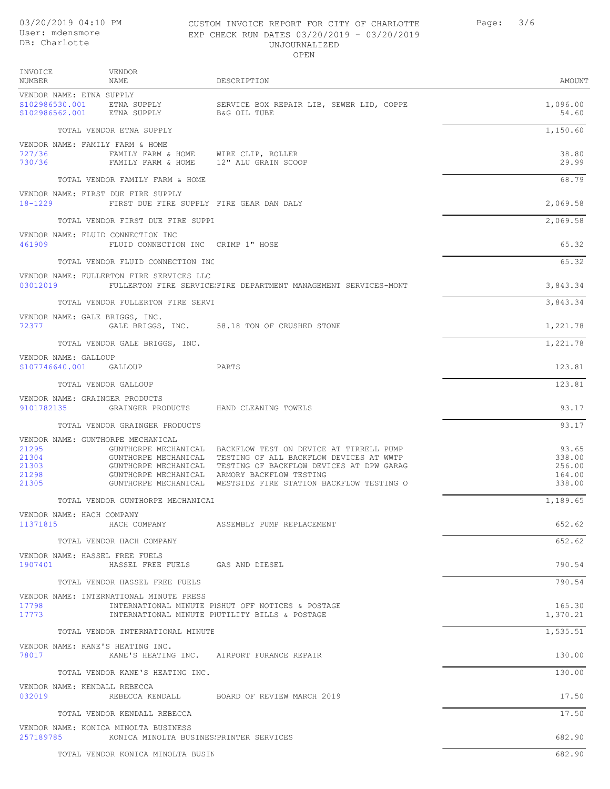## 03/20/2019 04:10 PM CUSTOM INVOICE REPORT FOR CITY OF CHARLOTTE Page: 3/6 EXP CHECK RUN DATES 03/20/2019 - 03/20/2019 UNJOURNALIZED

| DB: Charlotte                                       |                                                                                 | UNJOURNALIZED<br>OPEN                                                                                                                                                                                                                                                                     |                                               |
|-----------------------------------------------------|---------------------------------------------------------------------------------|-------------------------------------------------------------------------------------------------------------------------------------------------------------------------------------------------------------------------------------------------------------------------------------------|-----------------------------------------------|
| INVOICE<br>NUMBER                                   | VENDOR<br>NAME                                                                  | DESCRIPTION                                                                                                                                                                                                                                                                               | AMOUNT                                        |
| VENDOR NAME: ETNA SUPPLY                            |                                                                                 |                                                                                                                                                                                                                                                                                           |                                               |
| S102986530.001 ETNA SUPPLY<br>S102986562.001        | ETNA SUPPLY                                                                     | SERVICE BOX REPAIR LIB, SEWER LID, COPPE<br>B&G OIL TUBE                                                                                                                                                                                                                                  | 1,096.00<br>54.60                             |
|                                                     | TOTAL VENDOR ETNA SUPPLY                                                        |                                                                                                                                                                                                                                                                                           | 1,150.60                                      |
| VENDOR NAME: FAMILY FARM & HOME<br>727/36<br>730/36 | FAMILY FARM & HOME WIRE CLIP, ROLLER<br>FAMILY FARM & HOME 12" ALU GRAIN SCOOP  |                                                                                                                                                                                                                                                                                           | 38.80<br>29.99                                |
|                                                     | TOTAL VENDOR FAMILY FARM & HOME                                                 |                                                                                                                                                                                                                                                                                           | 68.79                                         |
| 18-1229                                             | VENDOR NAME: FIRST DUE FIRE SUPPLY<br>FIRST DUE FIRE SUPPLY FIRE GEAR DAN DALY  |                                                                                                                                                                                                                                                                                           | 2,069.58                                      |
|                                                     | TOTAL VENDOR FIRST DUE FIRE SUPPL                                               |                                                                                                                                                                                                                                                                                           | 2,069.58                                      |
| 461909                                              | VENDOR NAME: FLUID CONNECTION INC<br>FLUID CONNECTION INC CRIMP 1" HOSE         |                                                                                                                                                                                                                                                                                           | 65.32                                         |
|                                                     | TOTAL VENDOR FLUID CONNECTION INC                                               |                                                                                                                                                                                                                                                                                           | 65.32                                         |
| 03012019                                            | VENDOR NAME: FULLERTON FIRE SERVICES LLC                                        | FULLERTON FIRE SERVICE FIRE DEPARTMENT MANAGEMENT SERVICES-MONT                                                                                                                                                                                                                           | 3,843.34                                      |
|                                                     | TOTAL VENDOR FULLERTON FIRE SERVI                                               |                                                                                                                                                                                                                                                                                           | 3,843.34                                      |
| VENDOR NAME: GALE BRIGGS, INC.<br>72377             |                                                                                 | GALE BRIGGS, INC. 58.18 TON OF CRUSHED STONE                                                                                                                                                                                                                                              | 1,221.78                                      |
|                                                     | TOTAL VENDOR GALE BRIGGS, INC.                                                  |                                                                                                                                                                                                                                                                                           | 1,221.78                                      |
| VENDOR NAME: GALLOUP                                |                                                                                 |                                                                                                                                                                                                                                                                                           |                                               |
| S107746640.001 GALLOUP                              |                                                                                 | PARTS                                                                                                                                                                                                                                                                                     | 123.81                                        |
|                                                     | TOTAL VENDOR GALLOUP                                                            |                                                                                                                                                                                                                                                                                           | 123.81                                        |
| VENDOR NAME: GRAINGER PRODUCTS                      | 9101782135 GRAINGER PRODUCTS HAND CLEANING TOWELS                               |                                                                                                                                                                                                                                                                                           | 93.17                                         |
|                                                     | TOTAL VENDOR GRAINGER PRODUCTS                                                  |                                                                                                                                                                                                                                                                                           | 93.17                                         |
| 21295<br>21304<br>21303<br>21298<br>21305           | VENDOR NAME: GUNTHORPE MECHANICAL<br>GUNTHORPE MECHANICAL                       | GUNTHORPE MECHANICAL BACKFLOW TEST ON DEVICE AT TIRRELL PUMP<br>GUNTHORPE MECHANICAL TESTING OF ALL BACKFLOW DEVICES AT WWTP<br>GUNTHORPE MECHANICAL TESTING OF BACKFLOW DEVICES AT DPW GARAG<br>GUNTHORPE MECHANICAL ARMORY BACKFLOW TESTING<br>WESTSIDE FIRE STATION BACKFLOW TESTING O | 93.65<br>338.00<br>256.00<br>164.00<br>338.00 |
|                                                     | TOTAL VENDOR GUNTHORPE MECHANICAL                                               |                                                                                                                                                                                                                                                                                           | 1,189.65                                      |
| VENDOR NAME: HACH COMPANY<br>11371815               |                                                                                 | HACH COMPANY <b>ASSEMBLY PUMP REPLACEMENT</b>                                                                                                                                                                                                                                             | 652.62                                        |
|                                                     | TOTAL VENDOR HACH COMPANY                                                       |                                                                                                                                                                                                                                                                                           | 652.62                                        |
| VENDOR NAME: HASSEL FREE FUELS<br>1907401           | HASSEL FREE FUELS GAS AND DIESEL                                                |                                                                                                                                                                                                                                                                                           | 790.54                                        |
|                                                     | TOTAL VENDOR HASSEL FREE FUELS                                                  |                                                                                                                                                                                                                                                                                           | 790.54                                        |
| 17798<br>17773                                      | VENDOR NAME: INTERNATIONAL MINUTE PRESS                                         | INTERNATIONAL MINUTE PISHUT OFF NOTICES & POSTAGE<br>INTERNATIONAL MINUTE PUTILITY BILLS & POSTAGE                                                                                                                                                                                        | 165.30<br>1,370.21                            |
|                                                     | TOTAL VENDOR INTERNATIONAL MINUTE                                               |                                                                                                                                                                                                                                                                                           | 1,535.51                                      |
| VENDOR NAME: KANE'S HEATING INC.                    |                                                                                 |                                                                                                                                                                                                                                                                                           |                                               |
| 78017                                               |                                                                                 | KANE'S HEATING INC. AIRPORT FURANCE REPAIR                                                                                                                                                                                                                                                | 130.00                                        |
|                                                     | TOTAL VENDOR KANE'S HEATING INC.                                                |                                                                                                                                                                                                                                                                                           | 130.00                                        |
| VENDOR NAME: KENDALL REBECCA<br>032019              |                                                                                 | REBECCA KENDALL BOARD OF REVIEW MARCH 2019                                                                                                                                                                                                                                                | 17.50                                         |
|                                                     | TOTAL VENDOR KENDALL REBECCA                                                    |                                                                                                                                                                                                                                                                                           | 17.50                                         |
| 257189785                                           | VENDOR NAME: KONICA MINOLTA BUSINESS<br>KONICA MINOLTA BUSINES:PRINTER SERVICES |                                                                                                                                                                                                                                                                                           | 682.90                                        |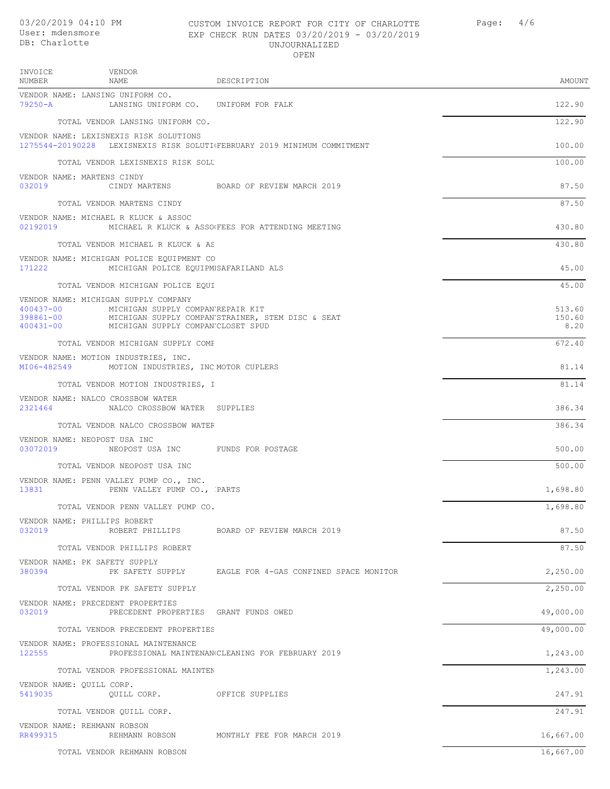#### 03/20/2019 04:10 PM CUSTOM INVOICE REPORT FOR CITY OF CHARLOTTE Page: 4/6 User: mdensmore EXP CHECK RUN DATES 03/20/2019 - 03/20/2019 UNJOURNALIZED OPEN

| INVOICE<br>VENDOR<br>NUMBER<br>NAME                                                                                                             | DESCRIPTION                                                              | AMOUNT                   |
|-------------------------------------------------------------------------------------------------------------------------------------------------|--------------------------------------------------------------------------|--------------------------|
| VENDOR NAME: LANSING UNIFORM CO.<br>79250-A                                                                                                     | LANSING UNIFORM CO. UNIFORM FOR FALK                                     | 122.90                   |
| TOTAL VENDOR LANSING UNIFORM CO.                                                                                                                |                                                                          | 122.90                   |
| VENDOR NAME: LEXISNEXIS RISK SOLUTIONS                                                                                                          | 1275544-20190228 LEXISNEXIS RISK SOLUTI FEBRUARY 2019 MINIMUM COMMITMENT | 100.00                   |
| TOTAL VENDOR LEXISNEXIS RISK SOLU                                                                                                               |                                                                          | 100.00                   |
| VENDOR NAME: MARTENS CINDY<br>032019                                                                                                            | CINDY MARTENS 60ARD OF REVIEW MARCH 2019                                 | 87.50                    |
| TOTAL VENDOR MARTENS CINDY                                                                                                                      |                                                                          | 87.50                    |
| VENDOR NAME: MICHAEL R KLUCK & ASSOC                                                                                                            | 02192019 MICHAEL R KLUCK & ASSO(FEES FOR ATTENDING MEETING               | 430.80                   |
| TOTAL VENDOR MICHAEL R KLUCK & AS                                                                                                               |                                                                          | 430.80                   |
| VENDOR NAME: MICHIGAN POLICE EQUIPMENT CO<br>171222                                                                                             | MICHIGAN POLICE EQUIPMSAFARILAND ALS                                     | 45.00                    |
| TOTAL VENDOR MICHIGAN POLICE EQUI                                                                                                               |                                                                          | 45.00                    |
| VENDOR NAME: MICHIGAN SUPPLY COMPANY<br>400437-00 MICHIGAN SUPPLY COMPAN REPAIR KIT<br>398861-00<br>400431-00 MICHIGAN SUPPLY COMPANCLOSET SPUD | MICHIGAN SUPPLY COMPAN'STRAINER, STEM DISC & SEAT                        | 513.60<br>150.60<br>8.20 |
| TOTAL VENDOR MICHIGAN SUPPLY COMP                                                                                                               |                                                                          | 672.40                   |
| VENDOR NAME: MOTION INDUSTRIES, INC.<br>MI06-482549 MOTION INDUSTRIES, INC MOTOR CUPLERS                                                        |                                                                          | 81.14                    |
| TOTAL VENDOR MOTION INDUSTRIES, I                                                                                                               |                                                                          | 81.14                    |
| VENDOR NAME: NALCO CROSSBOW WATER<br>2321464                                                                                                    | NALCO CROSSBOW WATER SUPPLIES                                            | 386.34                   |
| TOTAL VENDOR NALCO CROSSBOW WATEF                                                                                                               |                                                                          | 386.34                   |
| VENDOR NAME: NEOPOST USA INC<br>03072019 NEOPOST USA INC FUNDS FOR POSTAGE                                                                      |                                                                          | 500.00                   |
| TOTAL VENDOR NEOPOST USA INC                                                                                                                    |                                                                          | 500.00                   |
| VENDOR NAME: PENN VALLEY PUMP CO., INC.<br>13831<br>PENN VALLEY PUMP CO., PARTS                                                                 |                                                                          | 1,698.80                 |
| TOTAL VENDOR PENN VALLEY PUMP CO.                                                                                                               |                                                                          | 1,698.80                 |
| VENDOR NAME: PHILLIPS ROBERT<br>032019                                                                                                          | ROBERT PHILLIPS BOARD OF REVIEW MARCH 2019                               | 87.50                    |
| TOTAL VENDOR PHILLIPS ROBERT                                                                                                                    |                                                                          | 87.50                    |
| VENDOR NAME: PK SAFETY SUPPLY                                                                                                                   |                                                                          |                          |
| 380394                                                                                                                                          | PK SAFETY SUPPLY BAGLE FOR 4-GAS CONFINED SPACE MONITOR                  | 2,250.00                 |
| TOTAL VENDOR PK SAFETY SUPPLY<br>VENDOR NAME: PRECEDENT PROPERTIES                                                                              |                                                                          | 2,250.00                 |
| 032019                                                                                                                                          | PRECEDENT PROPERTIES GRANT FUNDS OWED                                    | 49,000.00                |
| TOTAL VENDOR PRECEDENT PROPERTIES                                                                                                               |                                                                          | 49,000.00                |
| VENDOR NAME: PROFESSIONAL MAINTENANCE<br>122555                                                                                                 | PROFESSIONAL MAINTENAN CLEANING FOR FEBRUARY 2019                        | 1,243.00                 |
| TOTAL VENDOR PROFESSIONAL MAINTEN                                                                                                               |                                                                          | 1,243.00                 |
| VENDOR NAME: QUILL CORP.<br>5419035                                                                                                             | QUILL CORP. OFFICE SUPPLIES                                              | 247.91                   |
| TOTAL VENDOR QUILL CORP.                                                                                                                        |                                                                          | 247.91                   |
| VENDOR NAME: REHMANN ROBSON<br>RR499315                                                                                                         | REHMANN ROBSON MONTHLY FEE FOR MARCH 2019                                | 16,667.00                |
| TOTAL VENDOR REHMANN ROBSON                                                                                                                     |                                                                          | 16,667.00                |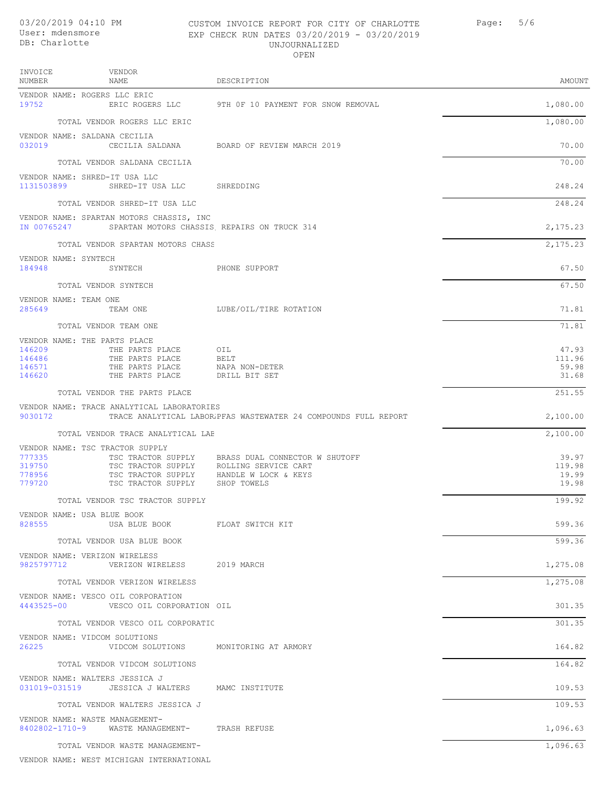#### 03/20/2019 04:10 PM CUSTOM INVOICE REPORT FOR CITY OF CHARLOTTE Page: 5/6 EXP CHECK RUN DATES 03/20/2019 - 03/20/2019 UNJOURNALIZED  $ODENT$

|                                      |                                                                                                          | UFLIN                                              |                                   |
|--------------------------------------|----------------------------------------------------------------------------------------------------------|----------------------------------------------------|-----------------------------------|
| INVOICE<br>NUMBER                    | VENDOR<br>NAME                                                                                           | DESCRIPTION                                        | AMOUNT                            |
| 19752                                | VENDOR NAME: ROGERS LLC ERIC                                                                             | ERIC ROGERS LLC 9TH OF 10 PAYMENT FOR SNOW REMOVAL | 1,080.00                          |
|                                      | TOTAL VENDOR ROGERS LLC ERIC                                                                             |                                                    | 1,080.00                          |
| 032019                               | VENDOR NAME: SALDANA CECILIA                                                                             | CECILIA SALDANA BOARD OF REVIEW MARCH 2019         | 70.00                             |
|                                      | TOTAL VENDOR SALDANA CECILIA                                                                             |                                                    | 70.00                             |
| 1131503899                           | VENDOR NAME: SHRED-IT USA LLC<br>SHRED-IT USA LLC SHREDDING                                              |                                                    | 248.24                            |
|                                      | TOTAL VENDOR SHRED-IT USA LLC                                                                            |                                                    | 248.24                            |
|                                      | VENDOR NAME: SPARTAN MOTORS CHASSIS, INC<br>IN 00765247 SPARTAN MOTORS CHASSIS REPAIRS ON TRUCK 314      |                                                    | 2,175.23                          |
|                                      | TOTAL VENDOR SPARTAN MOTORS CHASS                                                                        |                                                    | 2,175.23                          |
| 184948                               | VENDOR NAME: SYNTECH<br>SYNTECH                                                                          | PHONE SUPPORT                                      | 67.50                             |
|                                      | TOTAL VENDOR SYNTECH                                                                                     |                                                    | 67.50                             |
| 285649                               | VENDOR NAME: TEAM ONE<br>TEAM ONE                                                                        | LUBE/OIL/TIRE ROTATION                             | 71.81                             |
|                                      | TOTAL VENDOR TEAM ONE                                                                                    |                                                    | 71.81                             |
| 146209<br>146486<br>146571<br>146620 | VENDOR NAME: THE PARTS PLACE<br>THE PARTS PLACE<br>THE PARTS PLACE<br>THE PARTS PLACE<br>THE PARTS PLACE | OIL<br>BELT<br>NAPA NON-DETER<br>DRILL BIT SET     | 47.93<br>111.96<br>59.98<br>31.68 |
|                                      | TOTAL VENDOR THE PARTS PLACE                                                                             |                                                    | 251.55                            |
|                                      | VENDOR NAME: TRACE ANALYTICAL LABORATORIES                                                               |                                                    |                                   |

9030172 TRACE ANALYTICAL LABORATER WASTEWATER 24 COMPOUNDS FULL REPORT 2, 100.00

828555 USA BLUE BOOK FLOAT SWITCH KIT 599.36

TOTAL VENDOR TRACE ANALYTICAL LAE  $\qquad \qquad \qquad 2,100.00$ VENDOR NAME: TSC TRACTOR SUPPLY 777335 TSC TRACTOR SUPPLY BRASS DUAL CONNECTOR W SHUTOFF 39.97 ROLLING SERVICE CART<br>HANDLE W LOCK & KEYS 778956 TSC TRACTOR SUPPLY HANDLE W LOCK & KEYS 19.99 TSC TRACTOR SUPPLY

TOTAL VENDOR TSC TRACTOR SUPPLY **199.92** 

VENDOR NAME: USA BLUE BOOK

TOTAL VENDOR USA BLUE BOOK 599.36 VENDOR NAME: VERIZON WIRELESS 9825797712 VERIZON WIRELESS 2019 MARCH 1,275.08 TOTAL VENDOR VERIZON WIRELESS 1,275.08 VENDOR NAME: VESCO OIL CORPORATION 4443525-00 VESCO OTLOORPORATION OIL 300 VERSCO OIL 35 TOTAL VENDOR VESCO OIL CORPORATIC 301.35 VENDOR NAME: VIDCOM SOLUTIONS<br>26225 VIDCOM SOLUTIONS MONITORING AT ARMORY 164.82 TOTAL VENDOR VIDCOM SOLUTIONS 164.82 VENDOR NAME: WALTERS JESSICA J 031019-031519 JESSICA J WALTERS MAMC INSTITUTE 109.53

TOTAL VENDOR WALTERS JESSICA J 2002 SAMA SERIES AND TOTAL VENDOR WALTERS JESSICA J VENDOR NAME: WASTE MANAGEMENT-<br>8402802-1710-9 WASTE MANAGI

WASTE MANAGEMENT- TRASH REFUSE 1,096.63

TOTAL VENDOR WASTE MANAGEMENT-<br>
1,096.63

VENDOR NAME: WEST MICHIGAN INTERNATIONAL